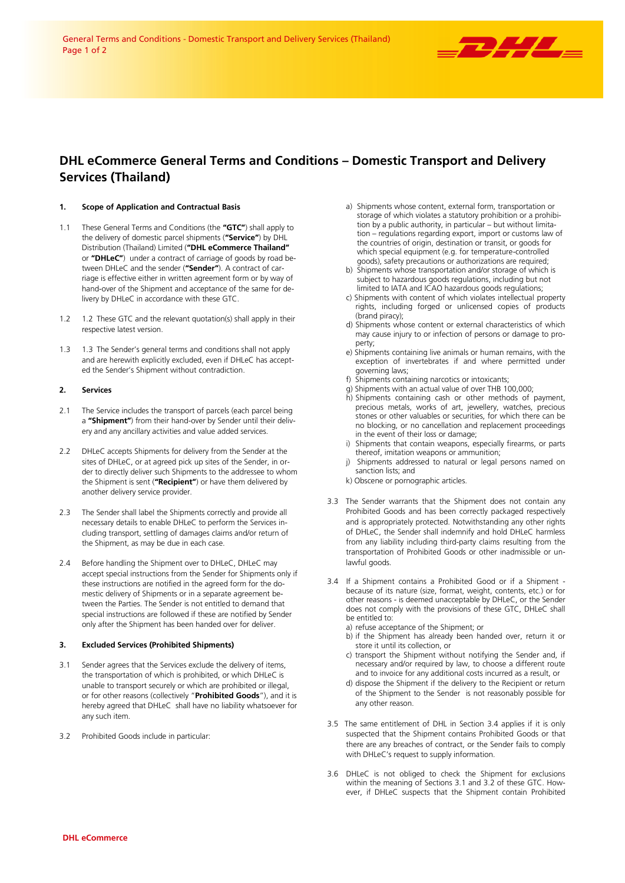

# **DHL eCommerce General Terms and Conditions – Domestic Transport and Delivery Services (Thailand)**

# **1. Scope of Application and Contractual Basis**

- 1.1 These General Terms and Conditions (the **"GTC"**) shall apply to the delivery of domestic parcel shipments (**"Service"**) by DHL Distribution (Thailand) Limited (**"DHL eCommerce Thailand"** or **"DHLeC"**) under a contract of carriage of goods by road between DHLeC and the sender (**"Sender"**). A contract of carriage is effective either in written agreement form or by way of hand-over of the Shipment and acceptance of the same for delivery by DHLeC in accordance with these GTC.
- 1.2 1.2 These GTC and the relevant quotation(s) shall apply in their respective latest version.
- 1.3 1.3 The Sender's general terms and conditions shall not apply and are herewith explicitly excluded, even if DHLeC has accepted the Sender's Shipment without contradiction.

#### **2. Services**

- 2.1 The Service includes the transport of parcels (each parcel being a **"Shipment"**) from their hand-over by Sender until their delivery and any ancillary activities and value added services.
- 2.2 DHLeC accepts Shipments for delivery from the Sender at the sites of DHLeC, or at agreed pick up sites of the Sender, in order to directly deliver such Shipments to the addressee to whom the Shipment is sent (**"Recipient"**) or have them delivered by another delivery service provider.
- 2.3 The Sender shall label the Shipments correctly and provide all necessary details to enable DHLeC to perform the Services including transport, settling of damages claims and/or return of the Shipment, as may be due in each case.
- 2.4 Before handling the Shipment over to DHLeC, DHLeC may accept special instructions from the Sender for Shipments only if these instructions are notified in the agreed form for the domestic delivery of Shipments or in a separate agreement between the Parties. The Sender is not entitled to demand that special instructions are followed if these are notified by Sender only after the Shipment has been handed over for deliver.

#### **3. Excluded Services (Prohibited Shipments)**

- 3.1 Sender agrees that the Services exclude the delivery of items, the transportation of which is prohibited, or which DHLeC is unable to transport securely or which are prohibited or illegal, or for other reasons (collectively "**Prohibited Goods**"), and it is hereby agreed that DHLeC shall have no liability whatsoever for any such item.
- 3.2 Prohibited Goods include in particular:
- a) Shipments whose content, external form, transportation or storage of which violates a statutory prohibition or a prohibition by a public authority, in particular – but without limitation – regulations regarding export, import or customs law of the countries of origin, destination or transit, or goods for which special equipment (e.g. for temperature-controlled goods), safety precautions or authorizations are required;
- b) Shipments whose transportation and/or storage of which is subject to hazardous goods regulations, including but not limited to IATA and ICAO hazardous goods regulations;
- c) Shipments with content of which violates intellectual property rights, including forged or unlicensed copies of products (brand piracy);
- d) Shipments whose content or external characteristics of which may cause injury to or infection of persons or damage to property;
- e) Shipments containing live animals or human remains, with the exception of invertebrates if and where permitted under governing laws;
- f) Shipments containing narcotics or intoxicants;
- g) Shipments with an actual value of over THB 100,000;
- h) Shipments containing cash or other methods of payment, precious metals, works of art, jewellery, watches, precious stones or other valuables or securities, for which there can be no blocking, or no cancellation and replacement proceedings in the event of their loss or damage;
- i) Shipments that contain weapons, especially firearms, or parts thereof, imitation weapons or ammunition;
- j) Shipments addressed to natural or legal persons named on sanction lists; and
- k) Obscene or pornographic articles.
- 3.3 The Sender warrants that the Shipment does not contain any Prohibited Goods and has been correctly packaged respectively and is appropriately protected. Notwithstanding any other rights of DHLeC, the Sender shall indemnify and hold DHLeC harmless from any liability including third-party claims resulting from the transportation of Prohibited Goods or other inadmissible or unlawful goods.
- 3.4 If a Shipment contains a Prohibited Good or if a Shipment because of its nature (size, format, weight, contents, etc.) or for other reasons - is deemed unacceptable by DHLeC, or the Sender does not comply with the provisions of these GTC, DHLeC shall be entitled to:
	- a) refuse acceptance of the Shipment; or
	- b) if the Shipment has already been handed over, return it or store it until its collection, or
	- c) transport the Shipment without notifying the Sender and, if necessary and/or required by law, to choose a different route and to invoice for any additional costs incurred as a result, or
	- d) dispose the Shipment if the delivery to the Recipient or return of the Shipment to the Sender is not reasonably possible for any other reason.
- 3.5 The same entitlement of DHL in Section 3.4 applies if it is only suspected that the Shipment contains Prohibited Goods or that there are any breaches of contract, or the Sender fails to comply with DHLeC's request to supply information.
- 3.6 DHLeC is not obliged to check the Shipment for exclusions within the meaning of Sections 3.1 and 3.2 of these GTC. However, if DHLeC suspects that the Shipment contain Prohibited